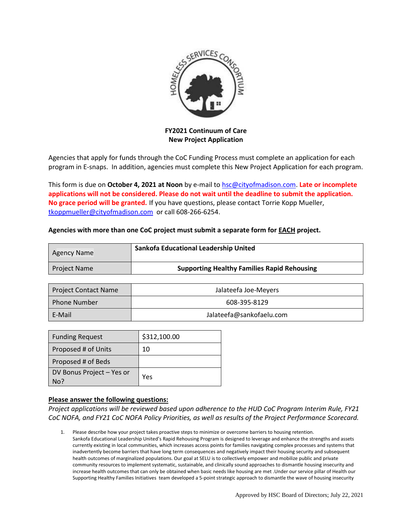

**FY2021 Continuum of Care New Project Application**

Agencies that apply for funds through the CoC Funding Process must complete an application for each program in E-snaps. In addition, agencies must complete this New Project Application for each program.

This form is due on **October 4, 2021 at Noon** by e-mail to [hsc@cityofmadison.com.](mailto:hsc@cityofmadison.com) **Late or incomplete applications will not be considered. Please do not wait until the deadline to submit the application. No grace period will be granted.** If you have questions, please contact Torrie Kopp Mueller, [tkoppmueller@cityofmadison.com](mailto:tkoppmueller@cityofmadison.com) or call 608-266-6254.

## **Agencies with more than one CoC project must submit a separate form for EACH project.**

| Agency Name         | Sankofa Educational Leadership United              |  |
|---------------------|----------------------------------------------------|--|
| <b>Project Name</b> | <b>Supporting Healthy Families Rapid Rehousing</b> |  |

| Project Contact Name | Jalateefa Joe-Meyers     |  |
|----------------------|--------------------------|--|
| Phone Number         | 608-395-8129             |  |
| E-Mail               | Jalateefa@sankofaelu.com |  |

| <b>Funding Request</b>           | \$312,100.00 |
|----------------------------------|--------------|
| Proposed # of Units              | 10           |
| Proposed # of Beds               |              |
| DV Bonus Project - Yes or<br>No? | Yes          |

## **Please answer the following questions:**

*Project applications will be reviewed based upon adherence to the HUD CoC Program Interim Rule, FY21 CoC NOFA, and FY21 CoC NOFA Policy Priorities, as well as results of the Project Performance Scorecard.*

1. Please describe how your project takes proactive steps to minimize or overcome barriers to housing retention. Sankofa Educational Leadership United's Rapid Rehousing Program is designed to leverage and enhance the strengths and assets currently existing in local communities, which increases access points for families navigating complex processes and systems that inadvertently become barriers that have long term consequences and negatively impact their housing security and subsequent health outcomes of marginalized populations. Our goal at SELU is to collectively empower and mobilize public and private community resources to implement systematic, sustainable, and clinically sound approaches to dismantle housing insecurity and increase health outcomes that can only be obtained when basic needs like housing are met .Under our service pillar of Health our Supporting Healthy Families Initiatives team developed a 5-point strategic approach to dismantle the wave of housing insecurity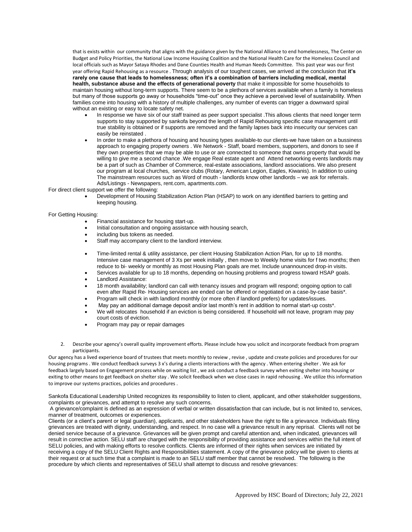that is exists within our community that aligns with the guidance given by the National Alliance to end homelessness, The Center on Budget and Policy Priorities, the National Low Income Housing Coalition and the National Health Care for the Homeless Council and local officials such as Mayor Sataya Rhodes and Dane Counties Health and Human Needs Committee. This past year was our first year offering Rapid Rehousing as a resource . Through analysis of our toughest cases, we arrived at the conclusion that **it's rarely one cause that leads to homelessness; often it's a combination of barriers including medical, mental health, substance abuse and the effects of generational poverty** that make it impossible for some households to maintain housing without long-term supports. There seem to be a plethora of services available when a family is homeless but many of those supports go away or households "time-out" once they achieve a perceived level of sustainability. When families come into housing with a history of multiple challenges, any number of events can trigger a downward spiral without an existing or easy to locate safety net.

- In response we have six of our staff trained as peer support specialist .This allows clients that need longer term supports to stay supported by sankofa beyond the length of Rapid Rehousing specific case management until true stability is obtained or if supports are removed and the family lapses back into insecurity our services can easily be reinstated .
- In order to make a plethora of housing and housing types available-to our clients-we have taken on a bussiness approach to engaging property owners . We Network - Staff, board members, supporters, and donors to see if they own properties that we may be able to use or are connected to someone that owns property that would be willing to give me a second chance .We engage Real estate agent and Attend networking events landlords may be a part of such as Chamber of Commerce, real-estate associations, landlord associations. We also present our program at local churches, service clubs (Rotary, American Legion, Eagles, Kiwanis). In addition to using The mainstream resources such as Word of mouth - landlords know other landlords – we ask for referrals. Ads/Listings - Newspapers, rent.com, apartments.com.

For direct client support we offer the following:

 Development of Housing Stabilization Action Plan (HSAP) to work on any identified barriers to getting and keeping housing.

## For Getting Housing:

- Financial assistance for housing start‐up.
- Initial consultation and ongoing assistance with housing search,
- including bus tokens as needed.
- Staff may accompany client to the landlord interview.
- Time‐limited rental & utility assistance, per client Housing Stabilization Action Plan, for up to 18 months. Intensive case management of 3 Xs per week initially , then move to Weekly home visits for f two months; then reduce to bi- weekly or monthly as most Housing Plan goals are met. Include unannounced drop-in visits.
- Services available for up to 18 months, depending on housing problems and progress toward HSAP goals.
- Landlord Assistance:
- 18 month availability; landlord can call with tenancy issues and program will respond; ongoing option to call even after Rapid Re‐ Housing services are ended can be offered or negotiated on a case‐by‐case basis\*.
- Program will check in with landlord monthly (or more often if landlord prefers) for updates/issues.
- May pay an additional damage deposit and/or last month's rent in addition to normal start-up costs\*.
- We will relocates household if an eviction is being considered. If household will not leave, program may pay court costs of eviction.
- Program may pay or repair damages
- 2. Describe your agency's overall quality improvement efforts. Please include how you solicit and incorporate feedback from program participants.

Our agency has a lived experience board of trustees that meets monthly to review , revise , update and create policies and procedures for our housing programs . We conduct feedback surveys 3 x's during a clients interactions with the agency . When entering shelter . We ask for feedback largely based on Engagement process while on waiting list , we ask conduct a feedback survey when exiting shelter into housing or exiting to other means to get feedback on shelter stay . We solicit feedback when we close cases in rapid rehousing . We utilize this information to improve our systems practices, policies and procedures .

Sankofa Educational Leadership United recognizes its responsibility to listen to client, applicant, and other stakeholder suggestions, complaints or grievances, and attempt to resolve any such concerns.

A grievance/complaint is defined as an expression of verbal or written dissatisfaction that can include, but is not limited to, services, manner of treatment, outcomes or experiences.

Clients (or a client's parent or legal guardian), applicants, and other stakeholders have the right to file a grievance. Individuals filing grievances are treated with dignity, understanding, and respect. In no case will a grievance result in any reprisal. Clients will not be denied service because of a grievance. Grievances will be given prompt and careful attention and, when indicated, grievances will result in corrective action. SELU staff are charged with the responsibility of providing assistance and services within the full intent of SELU policies, and with making efforts to resolve conflicts. Clients are informed of their rights when services are initiated by receiving a copy of the SELU Client Rights and Responsibilities statement. A copy of the grievance policy will be given to clients at their request or at such time that a complaint is made to an SELU staff member that cannot be resolved. The following is the procedure by which clients and representatives of SELU shall attempt to discuss and resolve grievances: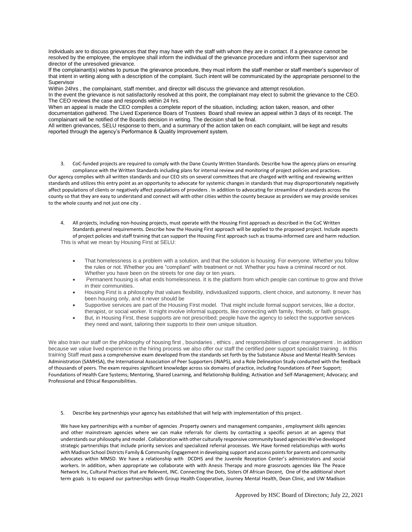Individuals are to discuss grievances that they may have with the staff with whom they are in contact. If a grievance cannot be resolved by the employee, the employee shall inform the individual of the grievance procedure and inform their supervisor and director of the unresolved grievance.

If the complainant(s) wishes to pursue the grievance procedure, they must inform the staff member or staff member's supervisor of that intent in writing along with a description of the complaint. Such intent will be communicated by the appropriate personnel to the Supervisor

Within 24hrs , the complainant, staff member, and director will discuss the grievance and attempt resolution.

In the event the grievance is not satisfactorily resolved at this point, the complainant may elect to submit the grievance to the CEO. The CEO reviews the case and responds within 24 hrs.

When an appeal is made the CEO compiles a complete report of the situation, including; action taken, reason, and other documentation gathered. The Lived Experience Boars of Trustees Board shall review an appeal within 3 days of its receipt. The complainant will be notified of the Boards decision in writing. The decision shall be final.

All written grievances, SELU response to them, and a summary of the action taken on each complaint, will be kept and results reported through the agency's Performance & Quality Improvement system.

3. CoC-funded projects are required to comply with the Dane County Written Standards. Describe how the agency plans on ensuring compliance with the Written Standards including plans for internal review and monitoring of project policies and practices.

Our agency complies with all written standards and our CEO sits on several committees that are charged with writing and reviewing written standards and utilizes this entry point as an opportunity to advocate for systemic changes in standards that may disproportionately negatively affect populations of clients or negatively affect populations of providers . In addition to advocating for streamline of standards across the county so that they are easy to understand and connect will with other cities within the county because as providers we may provide services to the whole county and not just one city .

4. All projects, including non-housing projects, must operate with the Housing First approach as described in the CoC Written Standards general requirements. Describe how the Housing First approach will be applied to the proposed project. Include aspects of project policies and staff training that can support the Housing First approach such as trauma-informed care and harm reduction. This is what we mean by Housing First at SELU:

- That homelessness is a problem with a solution, and that the solution is housing. For everyone. Whether you follow the rules or not. Whether you are "compliant" with treatment or not. Whether you have a criminal record or not. Whether you have been on the streets for one day or ten years.
- Permanent housing is what ends homelessness. It is the platform from which people can continue to grow and thrive in their communities.
- Housing First is a philosophy that values flexibility, individualized supports, client choice, and autonomy. It never has been housing only, and it never should be
- Supportive services are part of the Housing First model. That might include formal support services, like a doctor, therapist, or social worker. It might involve informal supports, like connecting with family, friends, or faith groups.
- But, in Housing First, these supports are not prescribed; people have the agency to select the supportive services they need and want, tailoring their supports to their own unique situation.

We also train our staff on the philosophy of housing first, boundaries, ethics, and responsibilities of case management. In addition because we value lived experience in the hiring process we also offer our staff the certified peer support specialist training . In this training Staff must pass a comprehensive exam developed from the standards set forth by the Substance Abuse and Mental Health Services Administration (SAMHSA), the International Association of Peer Supporters (iNAPS), and a Role Delineation Study conducted with the feedback of thousands of peers. The exam requires significant knowledge across six domains of practice, including Foundations of Peer Support; Foundations of Health Care Systems; Mentoring, Shared Learning, and Relationship Building; Activation and Self-Management; Advocacy; and Professional and Ethical Responsibilities.

5. Describe key partnerships your agency has established that will help with implementation of this project.

We have key partnerships with a number of agencies .Property owners and management companies , employment skills agencies and other mainstream agencies where we can make referrals for clients by contacting a specific person at an agency that understands our philosophy and model . Collaboration with other culturally responsive community based agencies We've developed strategic partnerships that include priority services and specialized referral processes. We Have formed relationships with works with Madison School Districts Family & Community Engagement in developing support and access points for parents and community advocates within MMSD. We have a relationship with DCDHS and the Juvenile Reception Center's administrators and social workers. In addition, when appropriate we collaborate with with Anesis Therapy and more grassroots agencies like The Peace Network Inc, Cultural Practices that are Relevent, INC. Connecting the Dots, Sisters Of African Decent, One of the additional short term goals is to expand our partnerships with Group Health Cooperative, Journey Mental Health, Dean Clinic, and UW Madison